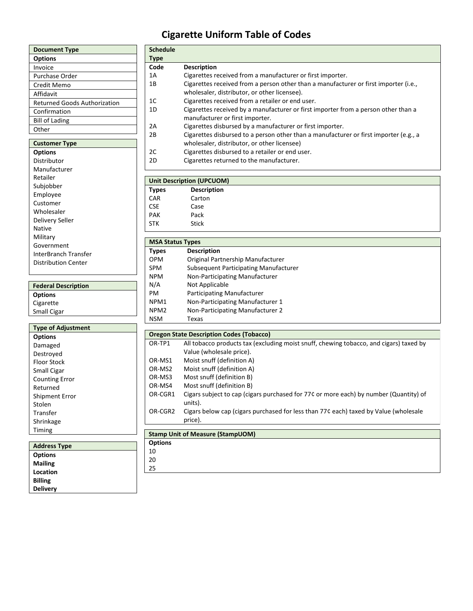# **Cigarette Uniform Table of Codes**

**Schedule** 

| <b>Document Type</b>                |
|-------------------------------------|
| <b>Options</b>                      |
| Invoice                             |
| Purchase Order                      |
| Credit Memo                         |
| Affidavit                           |
| <b>Returned Goods Authorization</b> |
| Confirmation                        |
| <b>Bill of Lading</b>               |
| Other                               |
|                                     |
| <b>Customer Type</b>                |
| <b>Options</b>                      |
| Distributor                         |
| Manufacturer                        |
| Retailer                            |
| Subjobber                           |
| Employee                            |
| Customer                            |

| Employee             |
|----------------------|
| Customer             |
| Wholesaler           |
| Delivery Seller      |
| Native               |
| Military             |
| Government           |
| InterBranch Transfer |
| Distribution Center  |

| <b>Federal Description</b> |
|----------------------------|
| <b>Options</b>             |
| Cigarette                  |
| <b>Small Cigar</b>         |
|                            |

| <b>Type of Adjustment</b> |
|---------------------------|
| <b>Options</b>            |
| Damaged                   |
| Destroved                 |
| <b>Floor Stock</b>        |
| Small Cigar               |
| <b>Counting Error</b>     |
| Returned                  |
| Shipment Error            |
| Stolen                    |
| Transfer                  |
| Shrinkage                 |
| Timing                    |
|                           |
| .<br>--                   |

| <b>Address Type</b> |  |
|---------------------|--|
| <b>Options</b>      |  |
| <b>Mailing</b>      |  |
| Location            |  |
| <b>Billing</b>      |  |
| <b>Delivery</b>     |  |
|                     |  |

| <b>Type</b>             |                                                                                                  |
|-------------------------|--------------------------------------------------------------------------------------------------|
| Code                    | <b>Description</b>                                                                               |
| 1A                      | Cigarettes received from a manufacturer or first importer.                                       |
| 1B                      | Cigarettes received from a person other than a manufacturer or first importer (i.e.,             |
|                         | wholesaler, distributor, or other licensee).                                                     |
| 1C                      | Cigarettes received from a retailer or end user.                                                 |
| 1D                      | Cigarettes received by a manufacturer or first importer from a person other than a               |
|                         | manufacturer or first importer.                                                                  |
| 2Α                      | Cigarettes disbursed by a manufacturer or first importer.                                        |
| 2B                      | Cigarettes disbursed to a person other than a manufacturer or first importer (e.g., a            |
|                         | wholesaler, distributor, or other licensee)                                                      |
| 2C                      | Cigarettes disbursed to a retailer or end user.                                                  |
| 2D                      | Cigarettes returned to the manufacturer.                                                         |
|                         | <b>Unit Description (UPCUOM)</b>                                                                 |
| <b>Types</b>            | <b>Description</b>                                                                               |
| CAR                     | Carton                                                                                           |
| <b>CSE</b>              | Case                                                                                             |
| <b>PAK</b>              | Pack                                                                                             |
| <b>STK</b>              | <b>Stick</b>                                                                                     |
|                         |                                                                                                  |
| <b>MSA Status Types</b> |                                                                                                  |
| <b>Types</b>            | <b>Description</b>                                                                               |
| <b>OPM</b>              | Original Partnership Manufacturer                                                                |
| <b>SPM</b>              | <b>Subsequent Participating Manufacturer</b>                                                     |
| <b>NPM</b>              | Non-Participating Manufacturer                                                                   |
| N/A                     | Not Applicable                                                                                   |
| PM.                     | Participating Manufacturer                                                                       |
| NPM1                    | Non-Participating Manufacturer 1                                                                 |
| NPM <sub>2</sub>        | Non-Participating Manufacturer 2                                                                 |
| <b>NSM</b>              | Texas                                                                                            |
|                         |                                                                                                  |
|                         | <b>Oregon State Description Codes (Tobacco)</b>                                                  |
| OR-TP1                  | All tobacco products tax (excluding moist snuff, chewing tobacco, and cigars) taxed by           |
|                         | Value (wholesale price).                                                                         |
| OR-MS1                  | Moist snuff (definition A)                                                                       |
| OR-MS2                  | Moist snuff (definition A)                                                                       |
| OR-MS3                  | Most snuff (definition B)                                                                        |
| OR-MS4                  | Most snuff (definition B)                                                                        |
| OR-CGR1                 | Cigars subject to cap (cigars purchased for 77¢ or more each) by number (Quantity) of<br>units). |
| OR-CGR2                 | Cigars below cap (cigars purchased for less than 77¢ each) taxed by Value (wholesale<br>price).  |

**Stamp Unit of Measure (StampUOM)** 

- **Options** 10
- 20 25